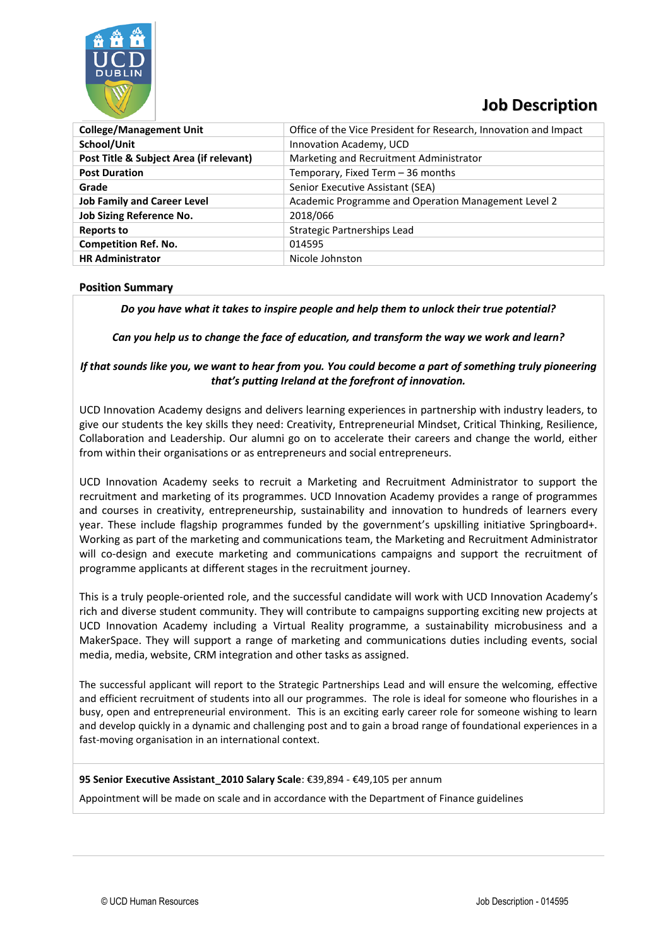

## **Job Description**

| <b>College/Management Unit</b>          | Office of the Vice President for Research, Innovation and Impact |
|-----------------------------------------|------------------------------------------------------------------|
| School/Unit                             | Innovation Academy, UCD                                          |
| Post Title & Subject Area (if relevant) | Marketing and Recruitment Administrator                          |
| <b>Post Duration</b>                    | Temporary, Fixed Term - 36 months                                |
| Grade                                   | Senior Executive Assistant (SEA)                                 |
| <b>Job Family and Career Level</b>      | Academic Programme and Operation Management Level 2              |
| <b>Job Sizing Reference No.</b>         | 2018/066                                                         |
| Reports to                              | Strategic Partnerships Lead                                      |
| <b>Competition Ref. No.</b>             | 014595                                                           |
| <b>HR Administrator</b>                 | Nicole Johnston                                                  |

## **Position Summary**

*Do you have what it takes to inspire people and help them to unlock their true potential?*

*Can you help us to change the face of education, and transform the way we work and learn?*

## *If that sounds like you, we want to hear from you. You could become a part of something truly pioneering that's putting Ireland at the forefront of innovation.*

UCD Innovation Academy designs and delivers learning experiences in partnership with industry leaders, to give our students the key skills they need: Creativity, Entrepreneurial Mindset, Critical Thinking, Resilience, Collaboration and Leadership. Our alumni go on to accelerate their careers and change the world, either from within their organisations or as entrepreneurs and social entrepreneurs.

UCD Innovation Academy seeks to recruit a Marketing and Recruitment Administrator to support the recruitment and marketing of its programmes. UCD Innovation Academy provides a range of programmes and courses in creativity, entrepreneurship, sustainability and innovation to hundreds of learners every year. These include flagship programmes funded by the government's upskilling initiative Springboard+. Working as part of the marketing and communications team, the Marketing and Recruitment Administrator will co-design and execute marketing and communications campaigns and support the recruitment of programme applicants at different stages in the recruitment journey.

This is a truly people-oriented role, and the successful candidate will work with UCD Innovation Academy's rich and diverse student community. They will contribute to campaigns supporting exciting new projects at UCD Innovation Academy including a Virtual Reality programme, a sustainability microbusiness and a MakerSpace. They will support a range of marketing and communications duties including events, social media, media, website, CRM integration and other tasks as assigned.

The successful applicant will report to the Strategic Partnerships Lead and will ensure the welcoming, effective and efficient recruitment of students into all our programmes. The role is ideal for someone who flourishes in a busy, open and entrepreneurial environment. This is an exciting early career role for someone wishing to learn and develop quickly in a dynamic and challenging post and to gain a broad range of foundational experiences in a fast-moving organisation in an international context.

#### **95 Senior Executive Assistant\_2010 Salary Scale**: €39,894 - €49,105 per annum

Appointment will be made on scale and in accordance with the Department of Finance guidelines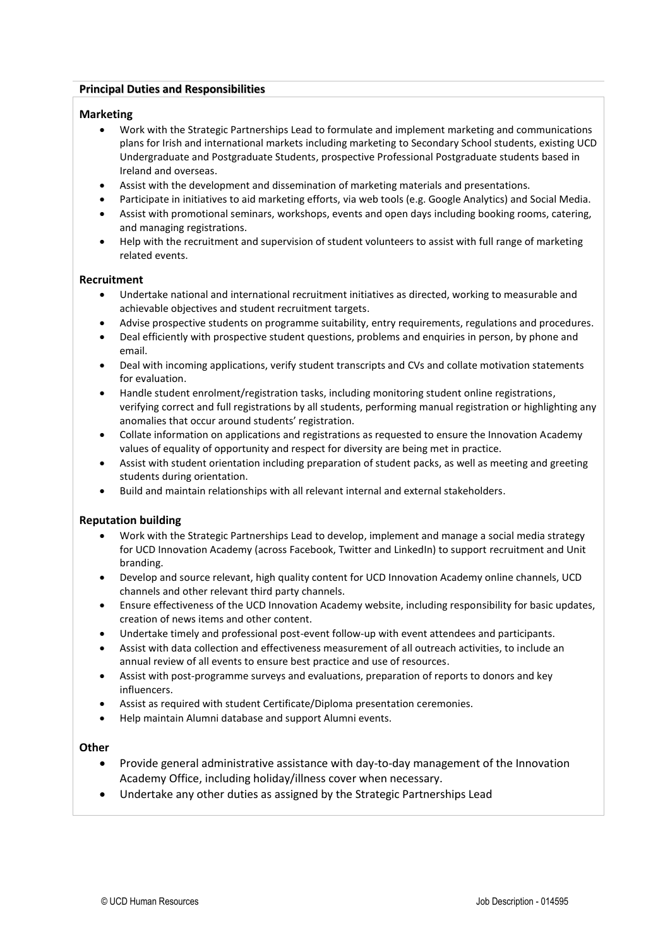## **Principal Duties and Responsibilities**

#### **Marketing**

- Work with the Strategic Partnerships Lead to formulate and implement marketing and communications plans for Irish and international markets including marketing to Secondary School students, existing UCD Undergraduate and Postgraduate Students, prospective Professional Postgraduate students based in Ireland and overseas.
- Assist with the development and dissemination of marketing materials and presentations.
- Participate in initiatives to aid marketing efforts, via web tools (e.g. Google Analytics) and Social Media.
- Assist with promotional seminars, workshops, events and open days including booking rooms, catering, and managing registrations.
- Help with the recruitment and supervision of student volunteers to assist with full range of marketing related events.

#### **Recruitment**

- Undertake national and international recruitment initiatives as directed, working to measurable and achievable objectives and student recruitment targets.
- Advise prospective students on programme suitability, entry requirements, regulations and procedures.
- Deal efficiently with prospective student questions, problems and enquiries in person, by phone and email.
- Deal with incoming applications, verify student transcripts and CVs and collate motivation statements for evaluation.
- Handle student enrolment/registration tasks, including monitoring student online registrations, verifying correct and full registrations by all students, performing manual registration or highlighting any anomalies that occur around students' registration.
- Collate information on applications and registrations as requested to ensure the Innovation Academy values of equality of opportunity and respect for diversity are being met in practice.
- Assist with student orientation including preparation of student packs, as well as meeting and greeting students during orientation.
- Build and maintain relationships with all relevant internal and external stakeholders.

## **Reputation building**

- Work with the Strategic Partnerships Lead to develop, implement and manage a social media strategy for UCD Innovation Academy (across Facebook, Twitter and LinkedIn) to support recruitment and Unit branding.
- Develop and source relevant, high quality content for UCD Innovation Academy online channels, UCD channels and other relevant third party channels.
- Ensure effectiveness of the UCD Innovation Academy website, including responsibility for basic updates, creation of news items and other content.
- Undertake timely and professional post-event follow-up with event attendees and participants.
- Assist with data collection and effectiveness measurement of all outreach activities, to include an annual review of all events to ensure best practice and use of resources.
- Assist with post-programme surveys and evaluations, preparation of reports to donors and key influencers.
- Assist as required with student Certificate/Diploma presentation ceremonies.
- Help maintain Alumni database and support Alumni events.

#### **Other**

- Provide general administrative assistance with day-to-day management of the Innovation Academy Office, including holiday/illness cover when necessary.
- Undertake any other duties as assigned by the Strategic Partnerships Lead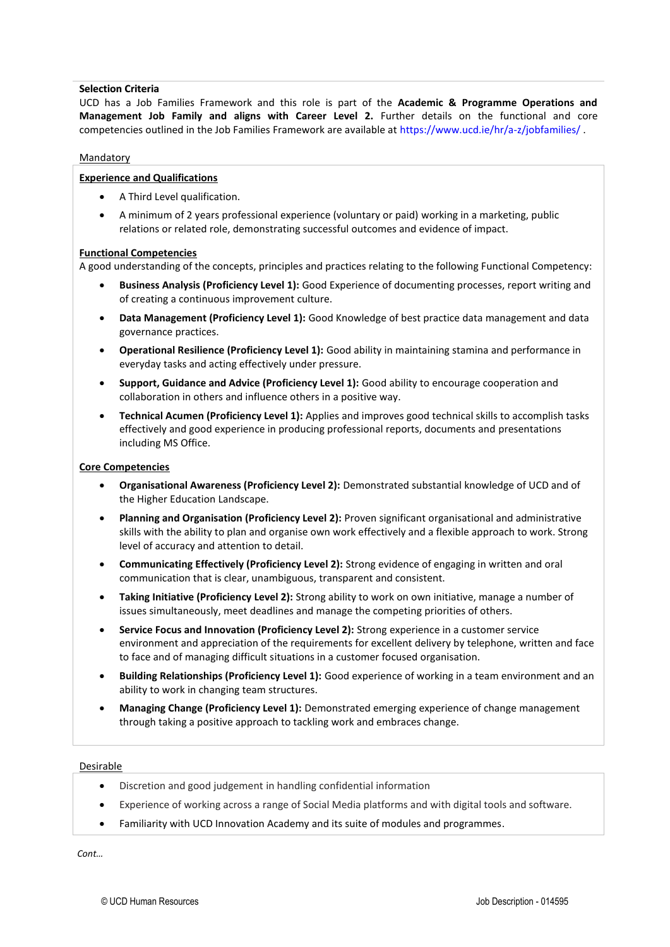#### **Selection Criteria**

UCD has a Job Families Framework and this role is part of the **Academic & Programme Operations and Management Job Family and aligns with Career Level 2.** Further details on the functional and core competencies outlined in the Job Families Framework are available at https://www.ucd.ie/hr/a-z/jobfamilies/ .

#### **Mandatory**

## **Experience and Qualifications**

- A Third Level qualification.
- A minimum of 2 years professional experience (voluntary or paid) working in a marketing, public relations or related role, demonstrating successful outcomes and evidence of impact.

#### **Functional Competencies**

A good understanding of the concepts, principles and practices relating to the following Functional Competency:

- **Business Analysis (Proficiency Level 1):** Good Experience of documenting processes, report writing and of creating a continuous improvement culture.
- **Data Management (Proficiency Level 1):** Good Knowledge of best practice data management and data governance practices.
- **Operational Resilience (Proficiency Level 1):** Good ability in maintaining stamina and performance in everyday tasks and acting effectively under pressure.
- **Support, Guidance and Advice (Proficiency Level 1):** Good ability to encourage cooperation and collaboration in others and influence others in a positive way.
- **Technical Acumen (Proficiency Level 1):** Applies and improves good technical skills to accomplish tasks effectively and good experience in producing professional reports, documents and presentations including MS Office.

#### **Core Competencies**

- **Organisational Awareness (Proficiency Level 2):** Demonstrated substantial knowledge of UCD and of the Higher Education Landscape.
- **Planning and Organisation (Proficiency Level 2):** Proven significant organisational and administrative skills with the ability to plan and organise own work effectively and a flexible approach to work. Strong level of accuracy and attention to detail.
- **Communicating Effectively (Proficiency Level 2):** Strong evidence of engaging in written and oral communication that is clear, unambiguous, transparent and consistent.
- **Taking Initiative (Proficiency Level 2):** Strong ability to work on own initiative, manage a number of issues simultaneously, meet deadlines and manage the competing priorities of others.
- **Service Focus and Innovation (Proficiency Level 2):** Strong experience in a customer service environment and appreciation of the requirements for excellent delivery by telephone, written and face to face and of managing difficult situations in a customer focused organisation.
- **Building Relationships (Proficiency Level 1):** Good experience of working in a team environment and an ability to work in changing team structures.
- **Managing Change (Proficiency Level 1):** Demonstrated emerging experience of change management through taking a positive approach to tackling work and embraces change.

#### Desirable

- Discretion and good judgement in handling confidential information
- Experience of working across a range of Social Media platforms and with digital tools and software.
- Familiarity with UCD Innovation Academy and its suite of modules and programmes.

*Cont…*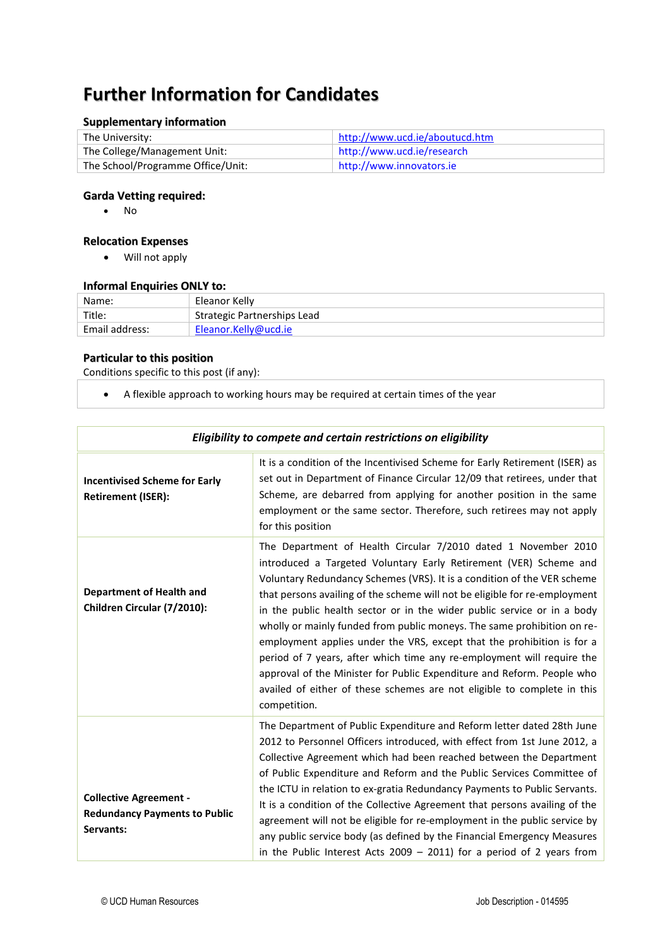# **Further Information for Candidates**

## **Supplementary information**

| The University:                   | http://www.ucd.ie/aboutucd.htm |
|-----------------------------------|--------------------------------|
| The College/Management Unit:      | http://www.ucd.ie/research     |
| The School/Programme Office/Unit: | http://www.innovators.ie       |

## **Garda Vetting required:**

• No

## **Relocation Expenses**

• Will not apply

#### **Informal Enquiries ONLY to:**

| Name:          | Eleanor Kelly               |
|----------------|-----------------------------|
| Title:         | Strategic Partnerships Lead |
| Email address: | Eleanor.Kelly@ucd.ie        |

## **Particular to this position**

Conditions specific to this post (if any):

• A flexible approach to working hours may be required at certain times of the year

| Eligibility to compete and certain restrictions on eligibility                     |                                                                                                                                                                                                                                                                                                                                                                                                                                                                                                                                                                                                                                                                                                                                                                             |  |
|------------------------------------------------------------------------------------|-----------------------------------------------------------------------------------------------------------------------------------------------------------------------------------------------------------------------------------------------------------------------------------------------------------------------------------------------------------------------------------------------------------------------------------------------------------------------------------------------------------------------------------------------------------------------------------------------------------------------------------------------------------------------------------------------------------------------------------------------------------------------------|--|
| <b>Incentivised Scheme for Early</b><br><b>Retirement (ISER):</b>                  | It is a condition of the Incentivised Scheme for Early Retirement (ISER) as<br>set out in Department of Finance Circular 12/09 that retirees, under that<br>Scheme, are debarred from applying for another position in the same<br>employment or the same sector. Therefore, such retirees may not apply<br>for this position                                                                                                                                                                                                                                                                                                                                                                                                                                               |  |
| <b>Department of Health and</b><br>Children Circular (7/2010):                     | The Department of Health Circular 7/2010 dated 1 November 2010<br>introduced a Targeted Voluntary Early Retirement (VER) Scheme and<br>Voluntary Redundancy Schemes (VRS). It is a condition of the VER scheme<br>that persons availing of the scheme will not be eligible for re-employment<br>in the public health sector or in the wider public service or in a body<br>wholly or mainly funded from public moneys. The same prohibition on re-<br>employment applies under the VRS, except that the prohibition is for a<br>period of 7 years, after which time any re-employment will require the<br>approval of the Minister for Public Expenditure and Reform. People who<br>availed of either of these schemes are not eligible to complete in this<br>competition. |  |
| <b>Collective Agreement -</b><br><b>Redundancy Payments to Public</b><br>Servants: | The Department of Public Expenditure and Reform letter dated 28th June<br>2012 to Personnel Officers introduced, with effect from 1st June 2012, a<br>Collective Agreement which had been reached between the Department<br>of Public Expenditure and Reform and the Public Services Committee of<br>the ICTU in relation to ex-gratia Redundancy Payments to Public Servants.<br>It is a condition of the Collective Agreement that persons availing of the<br>agreement will not be eligible for re-employment in the public service by<br>any public service body (as defined by the Financial Emergency Measures<br>in the Public Interest Acts 2009 $-$ 2011) for a period of 2 years from                                                                             |  |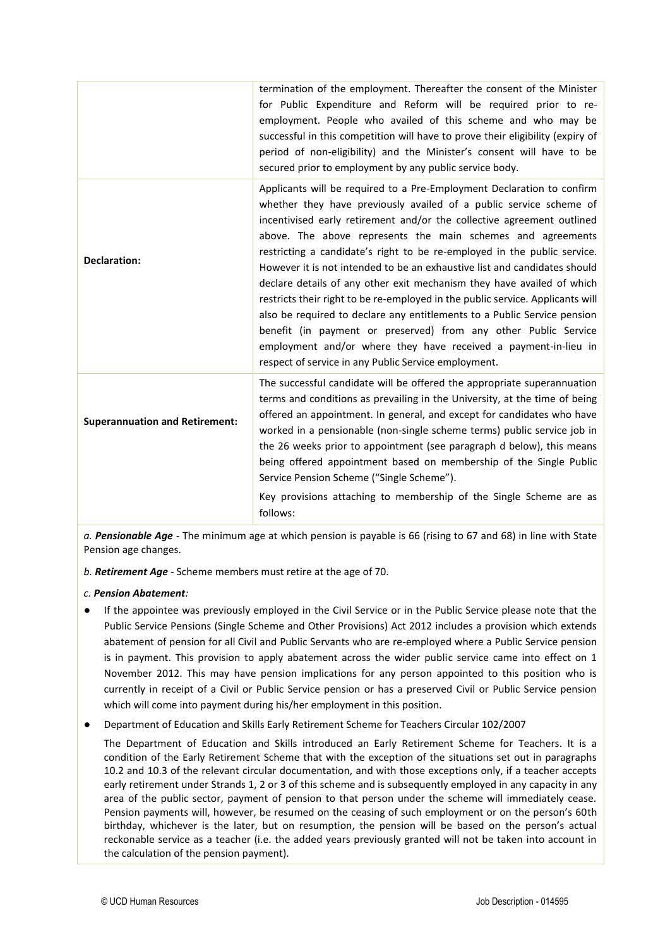|                                       | termination of the employment. Thereafter the consent of the Minister<br>for Public Expenditure and Reform will be required prior to re-<br>employment. People who availed of this scheme and who may be<br>successful in this competition will have to prove their eligibility (expiry of<br>period of non-eligibility) and the Minister's consent will have to be<br>secured prior to employment by any public service body.                                                                                                                                                                                                                                                                                                                                                                                                                                                       |
|---------------------------------------|--------------------------------------------------------------------------------------------------------------------------------------------------------------------------------------------------------------------------------------------------------------------------------------------------------------------------------------------------------------------------------------------------------------------------------------------------------------------------------------------------------------------------------------------------------------------------------------------------------------------------------------------------------------------------------------------------------------------------------------------------------------------------------------------------------------------------------------------------------------------------------------|
| <b>Declaration:</b>                   | Applicants will be required to a Pre-Employment Declaration to confirm<br>whether they have previously availed of a public service scheme of<br>incentivised early retirement and/or the collective agreement outlined<br>above. The above represents the main schemes and agreements<br>restricting a candidate's right to be re-employed in the public service.<br>However it is not intended to be an exhaustive list and candidates should<br>declare details of any other exit mechanism they have availed of which<br>restricts their right to be re-employed in the public service. Applicants will<br>also be required to declare any entitlements to a Public Service pension<br>benefit (in payment or preserved) from any other Public Service<br>employment and/or where they have received a payment-in-lieu in<br>respect of service in any Public Service employment. |
| <b>Superannuation and Retirement:</b> | The successful candidate will be offered the appropriate superannuation<br>terms and conditions as prevailing in the University, at the time of being<br>offered an appointment. In general, and except for candidates who have<br>worked in a pensionable (non-single scheme terms) public service job in<br>the 26 weeks prior to appointment (see paragraph d below), this means<br>being offered appointment based on membership of the Single Public<br>Service Pension Scheme ("Single Scheme").<br>Key provisions attaching to membership of the Single Scheme are as<br>follows:                                                                                                                                                                                                                                                                                             |

*a. Pensionable Age -* The minimum age at which pension is payable is 66 (rising to 67 and 68) in line with State Pension age changes.

*b. Retirement Age -* Scheme members must retire at the age of 70.

#### *c. Pension Abatement:*

- If the appointee was previously employed in the Civil Service or in the Public Service please note that the Public Service Pensions (Single Scheme and Other Provisions) Act 2012 includes a provision which extends abatement of pension for all Civil and Public Servants who are re-employed where a Public Service pension is in payment. This provision to apply abatement across the wider public service came into effect on 1 November 2012. This may have pension implications for any person appointed to this position who is currently in receipt of a Civil or Public Service pension or has a preserved Civil or Public Service pension which will come into payment during his/her employment in this position.
- Department of Education and Skills Early Retirement Scheme for Teachers Circular 102/2007

The Department of Education and Skills introduced an Early Retirement Scheme for Teachers. It is a condition of the Early Retirement Scheme that with the exception of the situations set out in paragraphs 10.2 and 10.3 of the relevant circular documentation, and with those exceptions only, if a teacher accepts early retirement under Strands 1, 2 or 3 of this scheme and is subsequently employed in any capacity in any area of the public sector, payment of pension to that person under the scheme will immediately cease. Pension payments will, however, be resumed on the ceasing of such employment or on the person's 60th birthday, whichever is the later, but on resumption, the pension will be based on the person's actual reckonable service as a teacher (i.e. the added years previously granted will not be taken into account in the calculation of the pension payment).